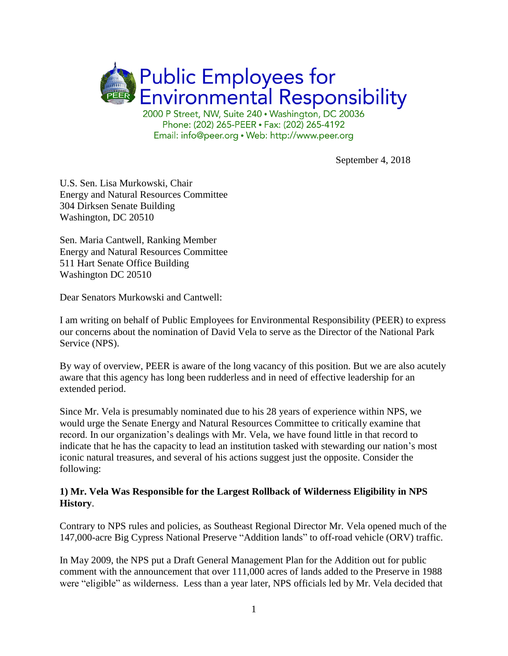

Email: info@peer.org • Web: http://www.peer.org

September 4, 2018

U.S. Sen. Lisa Murkowski, Chair Energy and Natural Resources Committee 304 Dirksen Senate Building Washington, DC 20510

Sen. Maria Cantwell, Ranking Member Energy and Natural Resources Committee 511 Hart Senate Office Building Washington DC 20510

Dear Senators Murkowski and Cantwell:

I am writing on behalf of Public Employees for Environmental Responsibility (PEER) to express our concerns about the nomination of David Vela to serve as the Director of the National Park Service (NPS).

By way of overview, PEER is aware of the long vacancy of this position. But we are also acutely aware that this agency has long been rudderless and in need of effective leadership for an extended period.

Since Mr. Vela is presumably nominated due to his 28 years of experience within NPS, we would urge the Senate Energy and Natural Resources Committee to critically examine that record. In our organization's dealings with Mr. Vela, we have found little in that record to indicate that he has the capacity to lead an institution tasked with stewarding our nation's most iconic natural treasures, and several of his actions suggest just the opposite. Consider the following:

## **1) Mr. Vela Was Responsible for the Largest Rollback of Wilderness Eligibility in NPS History**.

Contrary to NPS rules and policies, as Southeast Regional Director Mr. Vela opened much of the 147,000-acre Big Cypress National Preserve "Addition lands" to off-road vehicle (ORV) traffic.

In May 2009, the NPS put a Draft General Management Plan for the Addition out for public comment with the announcement that over 111,000 acres of lands added to the Preserve in 1988 were "eligible" as wilderness. Less than a year later, NPS officials led by Mr. Vela decided that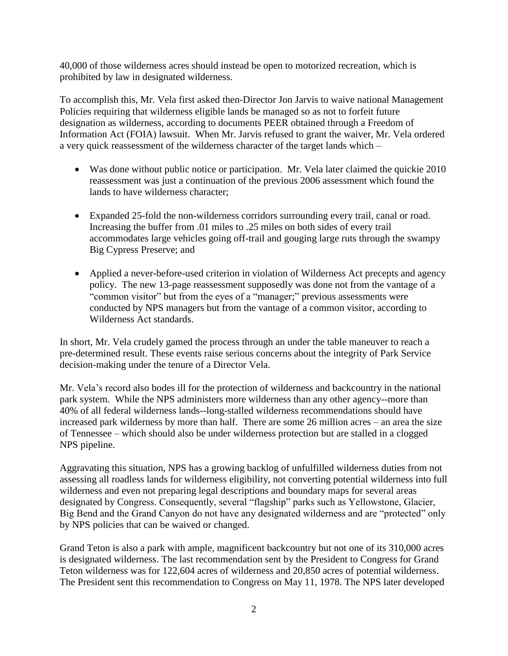40,000 of those wilderness acres should instead be open to motorized recreation, which is prohibited by law in designated wilderness.

To accomplish this, Mr. Vela first asked then-Director Jon Jarvis to waive national Management Policies requiring that wilderness eligible lands be managed so as not to forfeit future designation as wilderness, according to documents PEER obtained through a Freedom of Information Act (FOIA) lawsuit. When Mr. Jarvis refused to grant the waiver, Mr. Vela ordered a very quick reassessment of the wilderness character of the target lands which –

- Was done without public notice or participation. Mr. Vela later claimed the quickie 2010 reassessment was just a continuation of the previous 2006 assessment which found the lands to have wilderness character;
- Expanded 25-fold the non-wilderness corridors surrounding every trail, canal or road. Increasing the buffer from .01 miles to .25 miles on both sides of every trail accommodates large vehicles going off-trail and gouging large ruts through the swampy Big Cypress Preserve; and
- Applied a never-before-used criterion in violation of Wilderness Act precepts and agency policy. The new 13-page reassessment supposedly was done not from the vantage of a "common visitor" but from the eyes of a "manager;" previous assessments were conducted by NPS managers but from the vantage of a common visitor, according to Wilderness Act standards.

In short, Mr. Vela crudely gamed the process through an under the table maneuver to reach a pre-determined result. These events raise serious concerns about the integrity of Park Service decision-making under the tenure of a Director Vela.

Mr. Vela's record also bodes ill for the protection of wilderness and backcountry in the national park system. While the NPS administers more wilderness than any other agency--more than 40% of all federal wilderness lands--long-stalled wilderness recommendations should have increased park wilderness by more than half. There are some 26 million acres – an area the size of Tennessee – which should also be under wilderness protection but are stalled in a clogged NPS pipeline.

Aggravating this situation, NPS has a growing backlog of unfulfilled wilderness duties from not assessing all roadless lands for wilderness eligibility, not converting potential wilderness into full wilderness and even not preparing legal descriptions and boundary maps for several areas designated by Congress. Consequently, several "flagship" parks such as Yellowstone, Glacier, Big Bend and the Grand Canyon do not have any designated wilderness and are "protected" only by NPS policies that can be waived or changed.

Grand Teton is also a park with ample, magnificent backcountry but not one of its 310,000 acres is designated wilderness. The last recommendation sent by the President to Congress for Grand Teton wilderness was for 122,604 acres of wilderness and 20,850 acres of potential wilderness. The President sent this recommendation to Congress on May 11, 1978. The NPS later developed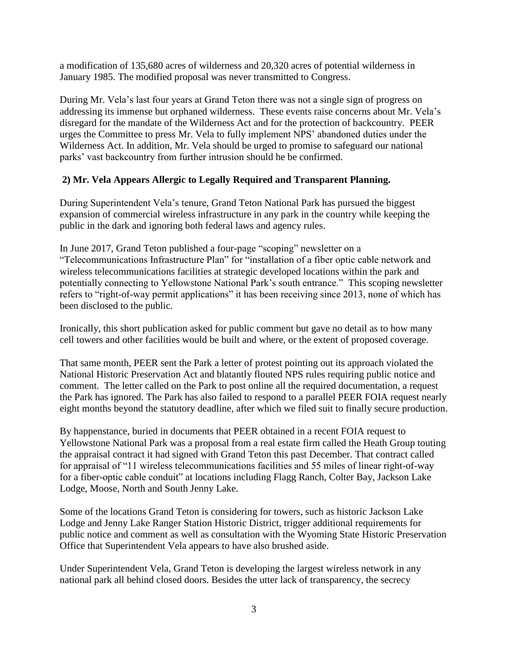a modification of 135,680 acres of wilderness and 20,320 acres of potential wilderness in January 1985. The modified proposal was never transmitted to Congress.

During Mr. Vela's last four years at Grand Teton there was not a single sign of progress on addressing its immense but orphaned wilderness. These events raise concerns about Mr. Vela's disregard for the mandate of the Wilderness Act and for the protection of backcountry. PEER urges the Committee to press Mr. Vela to fully implement NPS' abandoned duties under the Wilderness Act. In addition, Mr. Vela should be urged to promise to safeguard our national parks' vast backcountry from further intrusion should he be confirmed.

## **2) Mr. Vela Appears Allergic to Legally Required and Transparent Planning.**

During Superintendent Vela's tenure, Grand Teton National Park has pursued the biggest expansion of commercial wireless infrastructure in any park in the country while keeping the public in the dark and ignoring both federal laws and agency rules.

In June 2017, Grand Teton published a four-page "scoping" newsletter on a "Telecommunications Infrastructure Plan" for "installation of a fiber optic cable network and wireless telecommunications facilities at strategic developed locations within the park and potentially connecting to Yellowstone National Park's south entrance." This scoping newsletter refers to "right-of-way permit applications" it has been receiving since 2013, none of which has been disclosed to the public.

Ironically, this short publication asked for public comment but gave no detail as to how many cell towers and other facilities would be built and where, or the extent of proposed coverage.

That same month, PEER sent the Park a letter of protest pointing out its approach violated the National Historic Preservation Act and blatantly flouted NPS rules requiring public notice and comment. The letter called on the Park to post online all the required documentation, a request the Park has ignored. The Park has also failed to respond to a parallel PEER FOIA request nearly eight months beyond the statutory deadline, after which we filed suit to finally secure production.

By happenstance, buried in documents that PEER obtained in a recent FOIA request to Yellowstone National Park was a proposal from a real estate firm called the Heath Group touting the appraisal contract it had signed with Grand Teton this past December. That contract called for appraisal of "11 wireless telecommunications facilities and 55 miles of linear right-of-way for a fiber-optic cable conduit" at locations including Flagg Ranch, Colter Bay, Jackson Lake Lodge, Moose, North and South Jenny Lake.

Some of the locations Grand Teton is considering for towers, such as historic Jackson Lake Lodge and Jenny Lake Ranger Station Historic District, trigger additional requirements for public notice and comment as well as consultation with the Wyoming State Historic Preservation Office that Superintendent Vela appears to have also brushed aside.

Under Superintendent Vela, Grand Teton is developing the largest wireless network in any national park all behind closed doors. Besides the utter lack of transparency, the secrecy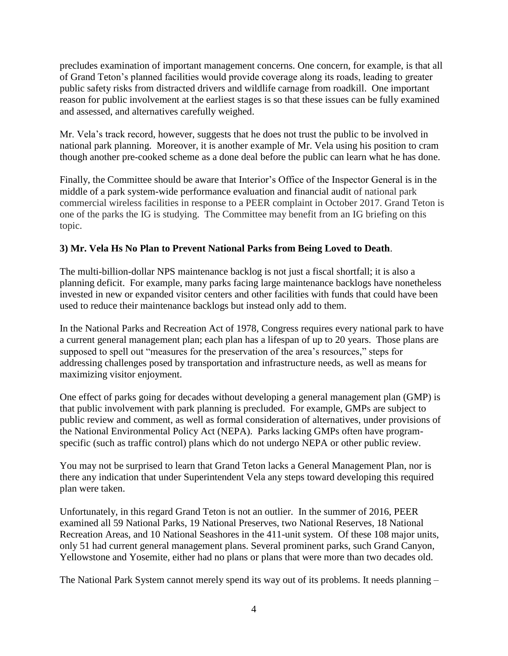precludes examination of important management concerns. One concern, for example, is that all of Grand Teton's planned facilities would provide coverage along its roads, leading to greater public safety risks from distracted drivers and wildlife carnage from roadkill. One important reason for public involvement at the earliest stages is so that these issues can be fully examined and assessed, and alternatives carefully weighed.

Mr. Vela's track record, however, suggests that he does not trust the public to be involved in national park planning. Moreover, it is another example of Mr. Vela using his position to cram though another pre-cooked scheme as a done deal before the public can learn what he has done.

Finally, the Committee should be aware that Interior's Office of the Inspector General is in the middle of a park system-wide performance evaluation and financial audit of national park commercial wireless facilities in response to a PEER complaint in October 2017. Grand Teton is one of the parks the IG is studying. The Committee may benefit from an IG briefing on this topic.

## **3) Mr. Vela Hs No Plan to Prevent National Parks from Being Loved to Death**.

The multi-billion-dollar NPS maintenance backlog is not just a fiscal shortfall; it is also a planning deficit. For example, many parks facing large maintenance backlogs have nonetheless invested in new or expanded visitor centers and other facilities with funds that could have been used to reduce their maintenance backlogs but instead only add to them.

In the National Parks and Recreation Act of 1978, Congress requires every national park to have a current general management plan; each plan has a lifespan of up to 20 years. Those plans are supposed to spell out "measures for the preservation of the area's resources," steps for addressing challenges posed by transportation and infrastructure needs, as well as means for maximizing visitor enjoyment.

One effect of parks going for decades without developing a general management plan (GMP) is that public involvement with park planning is precluded. For example, GMPs are subject to public review and comment, as well as formal consideration of alternatives, under provisions of the National Environmental Policy Act (NEPA). Parks lacking GMPs often have programspecific (such as traffic control) plans which do not undergo NEPA or other public review.

You may not be surprised to learn that Grand Teton lacks a General Management Plan, nor is there any indication that under Superintendent Vela any steps toward developing this required plan were taken.

Unfortunately, in this regard Grand Teton is not an outlier. In the summer of 2016, PEER examined all 59 National Parks, 19 National Preserves, two National Reserves, 18 National Recreation Areas, and 10 National Seashores in the 411-unit system. Of these 108 major units, only 51 had current general management plans. Several prominent parks, such Grand Canyon, Yellowstone and Yosemite, either had no plans or plans that were more than two decades old.

The National Park System cannot merely spend its way out of its problems. It needs planning –